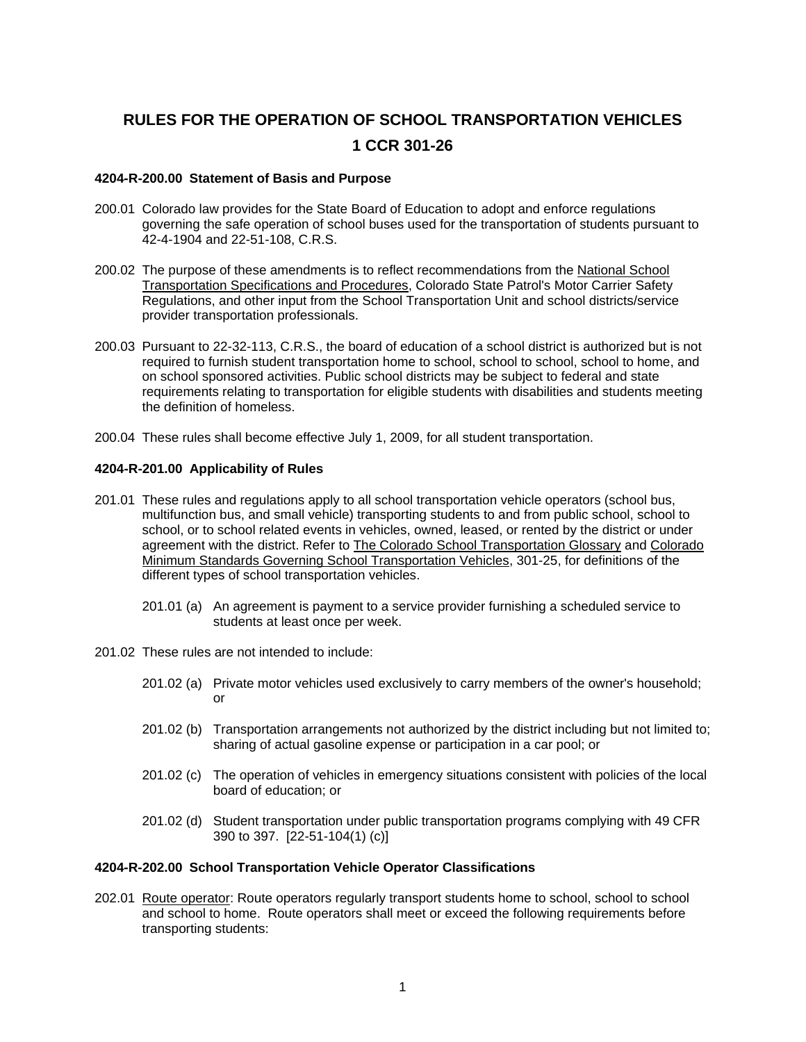# **RULES FOR THE OPERATION OF SCHOOL TRANSPORTATION VEHICLES 1 CCR 301-26**

## **4204-R-200.00 Statement of Basis and Purpose**

- 200.01 Colorado law provides for the State Board of Education to adopt and enforce regulations governing the safe operation of school buses used for the transportation of students pursuant to 42-4-1904 and 22-51-108, C.R.S.
- 200.02 The purpose of these amendments is to reflect recommendations from the National School Transportation Specifications and Procedures, Colorado State Patrol's Motor Carrier Safety Regulations, and other input from the School Transportation Unit and school districts/service provider transportation professionals.
- 200.03 Pursuant to 22-32-113, C.R.S., the board of education of a school district is authorized but is not required to furnish student transportation home to school, school to school, school to home, and on school sponsored activities. Public school districts may be subject to federal and state requirements relating to transportation for eligible students with disabilities and students meeting the definition of homeless.
- 200.04 These rules shall become effective July 1, 2009, for all student transportation.

## **4204-R-201.00 Applicability of Rules**

- 201.01 These rules and regulations apply to all school transportation vehicle operators (school bus, multifunction bus, and small vehicle) transporting students to and from public school, school to school, or to school related events in vehicles, owned, leased, or rented by the district or under agreement with the district. Refer to The Colorado School Transportation Glossary and Colorado Minimum Standards Governing School Transportation Vehicles, 301-25, for definitions of the different types of school transportation vehicles.
	- 201.01 (a) An agreement is payment to a service provider furnishing a scheduled service to students at least once per week.
- 201.02 These rules are not intended to include:
	- 201.02 (a) Private motor vehicles used exclusively to carry members of the owner's household; or
	- 201.02 (b) Transportation arrangements not authorized by the district including but not limited to; sharing of actual gasoline expense or participation in a car pool; or
	- 201.02 (c) The operation of vehicles in emergency situations consistent with policies of the local board of education; or
	- 201.02 (d) Student transportation under public transportation programs complying with 49 CFR 390 to 397. [22-51-104(1) (c)]

# **4204-R-202.00 School Transportation Vehicle Operator Classifications**

202.01 Route operator: Route operators regularly transport students home to school, school to school and school to home. Route operators shall meet or exceed the following requirements before transporting students: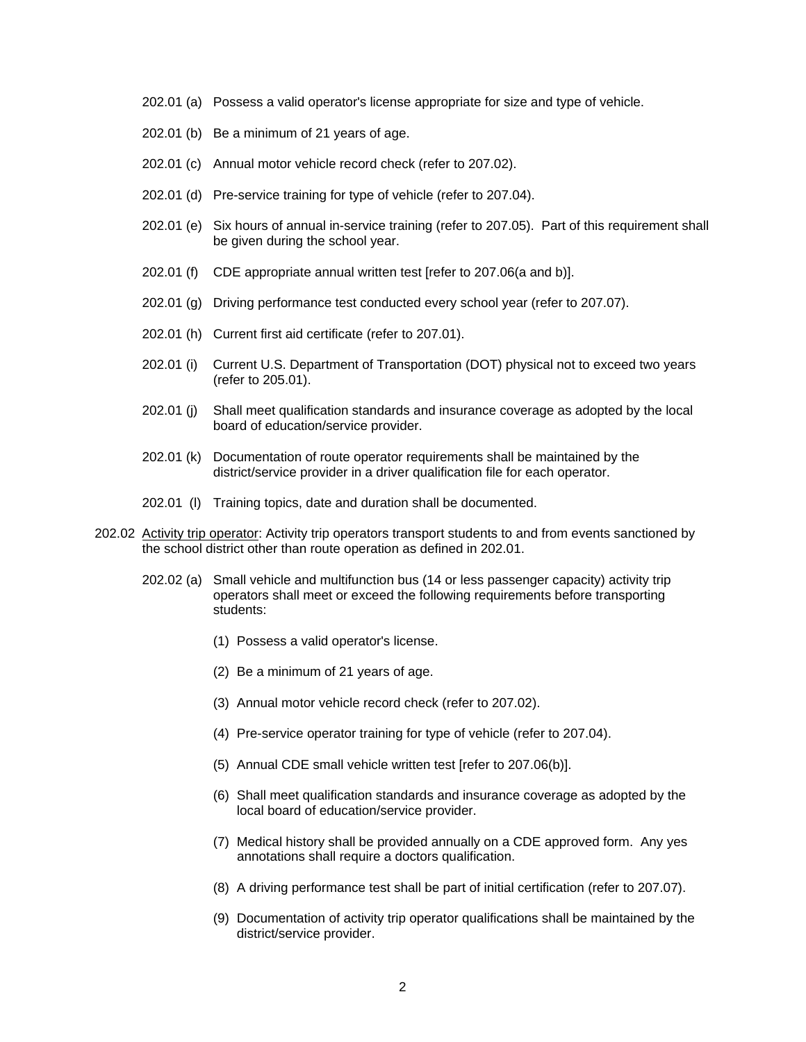- 202.01 (a) Possess a valid operator's license appropriate for size and type of vehicle.
- 202.01 (b) Be a minimum of 21 years of age.
- 202.01 (c) Annual motor vehicle record check (refer to 207.02).
- 202.01 (d) Pre-service training for type of vehicle (refer to 207.04).
- 202.01 (e) Six hours of annual in-service training (refer to 207.05). Part of this requirement shall be given during the school year.
- 202.01 (f) CDE appropriate annual written test [refer to 207.06(a and b)].
- 202.01 (g) Driving performance test conducted every school year (refer to 207.07).
- 202.01 (h) Current first aid certificate (refer to 207.01).
- 202.01 (i) Current U.S. Department of Transportation (DOT) physical not to exceed two years (refer to 205.01).
- 202.01 (j) Shall meet qualification standards and insurance coverage as adopted by the local board of education/service provider.
- 202.01 (k) Documentation of route operator requirements shall be maintained by the district/service provider in a driver qualification file for each operator.
- 202.01 (l) Training topics, date and duration shall be documented.
- 202.02 Activity trip operator: Activity trip operators transport students to and from events sanctioned by the school district other than route operation as defined in 202.01.
	- 202.02 (a) Small vehicle and multifunction bus (14 or less passenger capacity) activity trip operators shall meet or exceed the following requirements before transporting students:
		- (1) Possess a valid operator's license.
		- (2) Be a minimum of 21 years of age.
		- (3) Annual motor vehicle record check (refer to 207.02).
		- (4) Pre-service operator training for type of vehicle (refer to 207.04).
		- (5) Annual CDE small vehicle written test [refer to 207.06(b)].
		- (6) Shall meet qualification standards and insurance coverage as adopted by the local board of education/service provider.
		- (7) Medical history shall be provided annually on a CDE approved form. Any yes annotations shall require a doctors qualification.
		- (8) A driving performance test shall be part of initial certification (refer to 207.07).
		- (9) Documentation of activity trip operator qualifications shall be maintained by the district/service provider.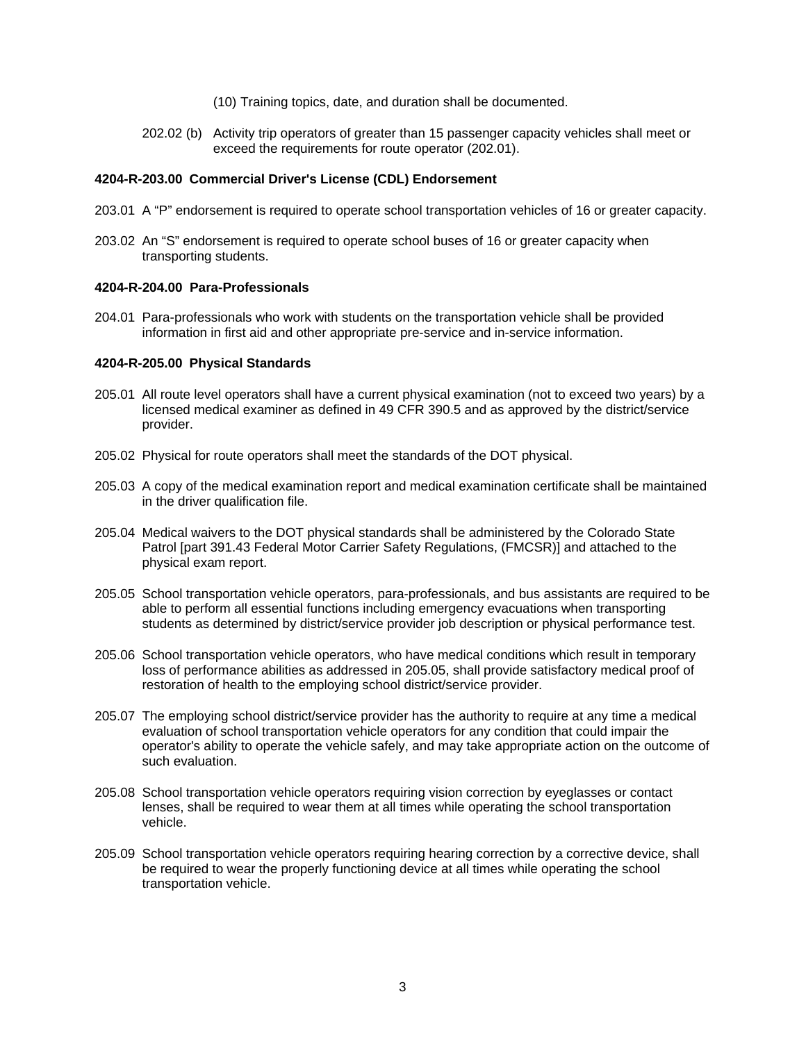- (10) Training topics, date, and duration shall be documented.
- 202.02 (b) Activity trip operators of greater than 15 passenger capacity vehicles shall meet or exceed the requirements for route operator (202.01).

## **4204-R-203.00 Commercial Driver's License (CDL) Endorsement**

- 203.01 A "P" endorsement is required to operate school transportation vehicles of 16 or greater capacity.
- 203.02 An "S" endorsement is required to operate school buses of 16 or greater capacity when transporting students.

#### **4204-R-204.00 Para-Professionals**

204.01 Para-professionals who work with students on the transportation vehicle shall be provided information in first aid and other appropriate pre-service and in-service information.

## **4204-R-205.00 Physical Standards**

- 205.01 All route level operators shall have a current physical examination (not to exceed two years) by a licensed medical examiner as defined in 49 CFR 390.5 and as approved by the district/service provider.
- 205.02 Physical for route operators shall meet the standards of the DOT physical.
- 205.03 A copy of the medical examination report and medical examination certificate shall be maintained in the driver qualification file.
- 205.04 Medical waivers to the DOT physical standards shall be administered by the Colorado State Patrol [part 391.43 Federal Motor Carrier Safety Regulations, (FMCSR)] and attached to the physical exam report.
- 205.05 School transportation vehicle operators, para-professionals, and bus assistants are required to be able to perform all essential functions including emergency evacuations when transporting students as determined by district/service provider job description or physical performance test.
- 205.06 School transportation vehicle operators, who have medical conditions which result in temporary loss of performance abilities as addressed in 205.05, shall provide satisfactory medical proof of restoration of health to the employing school district/service provider.
- 205.07 The employing school district/service provider has the authority to require at any time a medical evaluation of school transportation vehicle operators for any condition that could impair the operator's ability to operate the vehicle safely, and may take appropriate action on the outcome of such evaluation.
- 205.08 School transportation vehicle operators requiring vision correction by eyeglasses or contact lenses, shall be required to wear them at all times while operating the school transportation vehicle.
- 205.09 School transportation vehicle operators requiring hearing correction by a corrective device, shall be required to wear the properly functioning device at all times while operating the school transportation vehicle.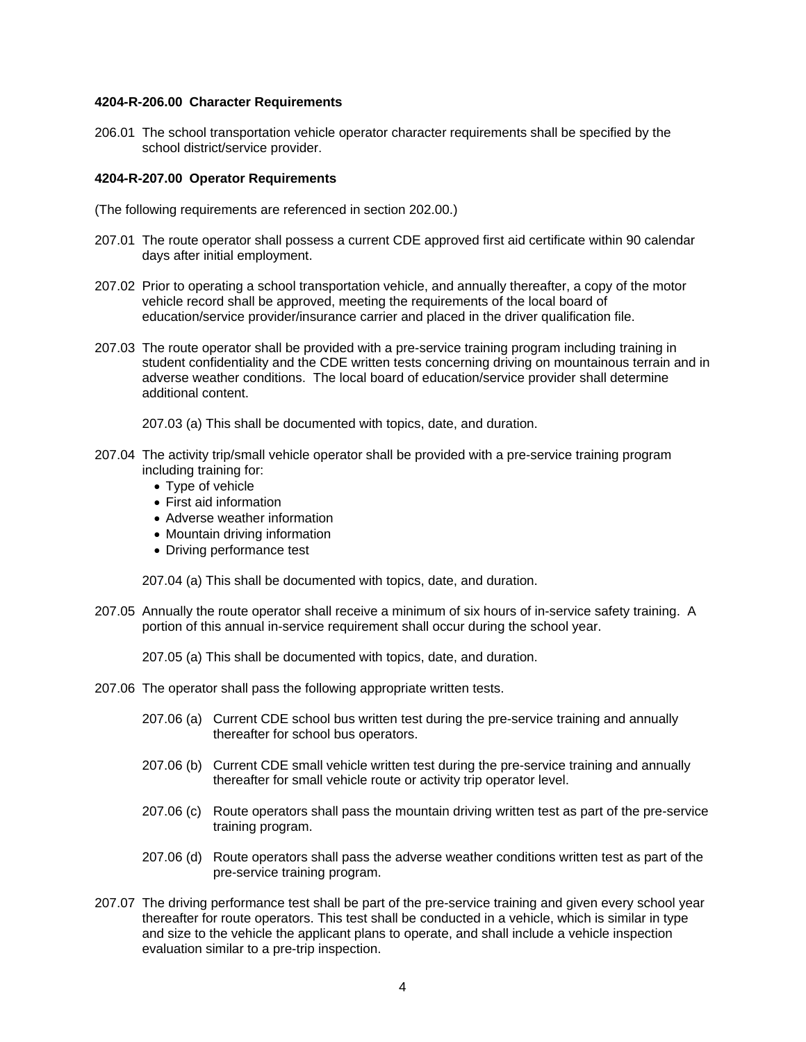#### **4204-R-206.00 Character Requirements**

206.01 The school transportation vehicle operator character requirements shall be specified by the school district/service provider.

## **4204-R-207.00 Operator Requirements**

- (The following requirements are referenced in section 202.00.)
- 207.01 The route operator shall possess a current CDE approved first aid certificate within 90 calendar days after initial employment.
- 207.02 Prior to operating a school transportation vehicle, and annually thereafter, a copy of the motor vehicle record shall be approved, meeting the requirements of the local board of education/service provider/insurance carrier and placed in the driver qualification file.
- 207.03 The route operator shall be provided with a pre-service training program including training in student confidentiality and the CDE written tests concerning driving on mountainous terrain and in adverse weather conditions. The local board of education/service provider shall determine additional content.
	- 207.03 (a) This shall be documented with topics, date, and duration.
- 207.04 The activity trip/small vehicle operator shall be provided with a pre-service training program including training for:
	- Type of vehicle
	- First aid information
	- Adverse weather information
	- Mountain driving information
	- Driving performance test

207.04 (a) This shall be documented with topics, date, and duration.

207.05 Annually the route operator shall receive a minimum of six hours of in-service safety training. A portion of this annual in-service requirement shall occur during the school year.

207.05 (a) This shall be documented with topics, date, and duration.

- 207.06 The operator shall pass the following appropriate written tests.
	- 207.06 (a) Current CDE school bus written test during the pre-service training and annually thereafter for school bus operators.
	- 207.06 (b) Current CDE small vehicle written test during the pre-service training and annually thereafter for small vehicle route or activity trip operator level.
	- 207.06 (c) Route operators shall pass the mountain driving written test as part of the pre-service training program.
	- 207.06 (d) Route operators shall pass the adverse weather conditions written test as part of the pre-service training program.
- 207.07 The driving performance test shall be part of the pre-service training and given every school year thereafter for route operators. This test shall be conducted in a vehicle, which is similar in type and size to the vehicle the applicant plans to operate, and shall include a vehicle inspection evaluation similar to a pre-trip inspection.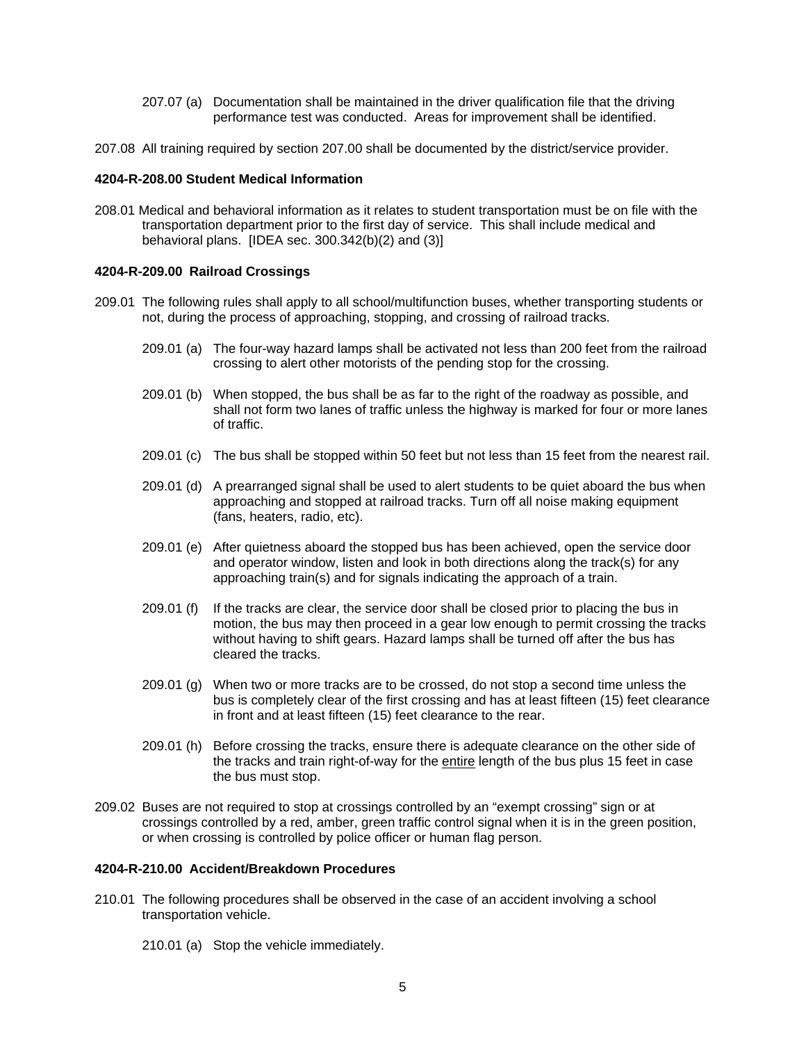- 207.07 (a) Documentation shall be maintained in the driver qualification file that the driving performance test was conducted. Areas for improvement shall be identified.
- 207.08 All training required by section 207.00 shall be documented by the district/service provider.

## **4204-R-208.00 Student Medical Information**

208.01 Medical and behavioral information as it relates to student transportation must be on file with the transportation department prior to the first day of service. This shall include medical and behavioral plans. [IDEA sec. 300.342(b)(2) and (3)]

## **4204-R-209.00 Railroad Crossings**

- 209.01 The following rules shall apply to all school/multifunction buses, whether transporting students or not, during the process of approaching, stopping, and crossing of railroad tracks.
	- 209.01 (a) The four-way hazard lamps shall be activated not less than 200 feet from the railroad crossing to alert other motorists of the pending stop for the crossing.
	- 209.01 (b) When stopped, the bus shall be as far to the right of the roadway as possible, and shall not form two lanes of traffic unless the highway is marked for four or more lanes of traffic.
	- 209.01 (c) The bus shall be stopped within 50 feet but not less than 15 feet from the nearest rail.
	- 209.01 (d) A prearranged signal shall be used to alert students to be quiet aboard the bus when approaching and stopped at railroad tracks. Turn off all noise making equipment (fans, heaters, radio, etc).
	- 209.01 (e) After quietness aboard the stopped bus has been achieved, open the service door and operator window, listen and look in both directions along the track(s) for any approaching train(s) and for signals indicating the approach of a train.
	- 209.01 (f) If the tracks are clear, the service door shall be closed prior to placing the bus in motion, the bus may then proceed in a gear low enough to permit crossing the tracks without having to shift gears. Hazard lamps shall be turned off after the bus has cleared the tracks.
	- 209.01 (g) When two or more tracks are to be crossed, do not stop a second time unless the bus is completely clear of the first crossing and has at least fifteen (15) feet clearance in front and at least fifteen (15) feet clearance to the rear.
	- 209.01 (h) Before crossing the tracks, ensure there is adequate clearance on the other side of the tracks and train right-of-way for the entire length of the bus plus 15 feet in case the bus must stop.
- 209.02 Buses are not required to stop at crossings controlled by an "exempt crossing" sign or at crossings controlled by a red, amber, green traffic control signal when it is in the green position, or when crossing is controlled by police officer or human flag person.

# **4204-R-210.00 Accident/Breakdown Procedures**

- 210.01 The following procedures shall be observed in the case of an accident involving a school transportation vehicle.
	- 210.01 (a) Stop the vehicle immediately.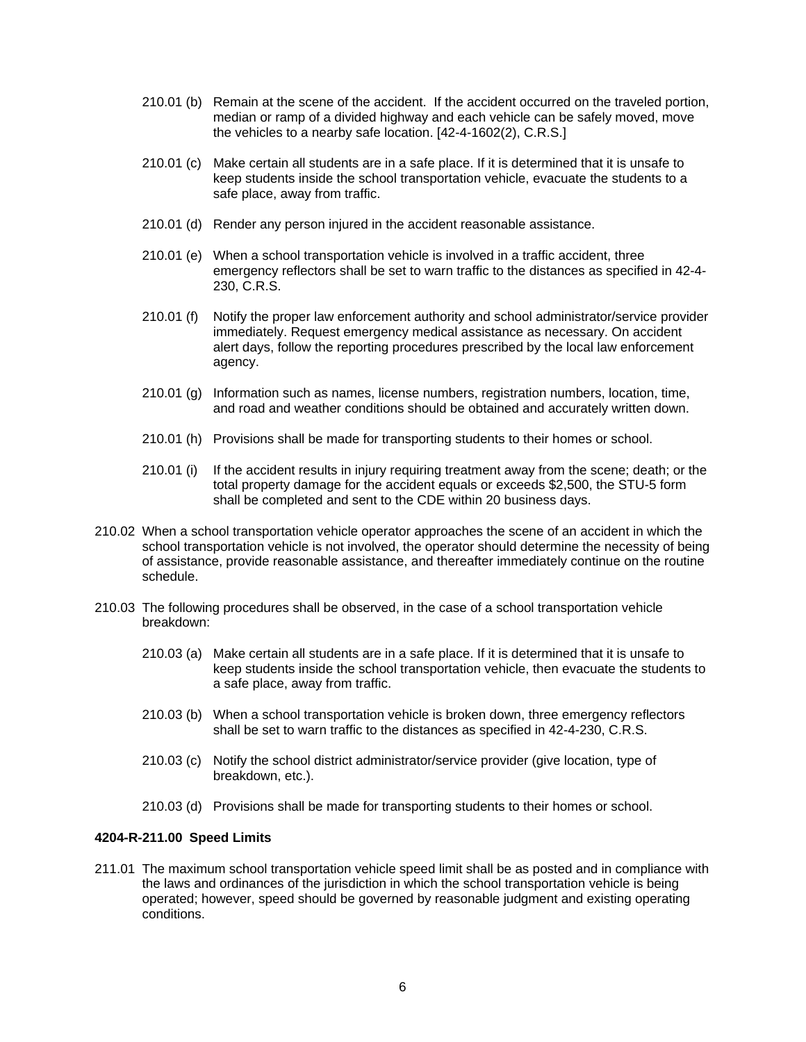- 210.01 (b) Remain at the scene of the accident. If the accident occurred on the traveled portion, median or ramp of a divided highway and each vehicle can be safely moved, move the vehicles to a nearby safe location. [42-4-1602(2), C.R.S.]
- 210.01 (c) Make certain all students are in a safe place. If it is determined that it is unsafe to keep students inside the school transportation vehicle, evacuate the students to a safe place, away from traffic.
- 210.01 (d) Render any person injured in the accident reasonable assistance.
- 210.01 (e) When a school transportation vehicle is involved in a traffic accident, three emergency reflectors shall be set to warn traffic to the distances as specified in 42-4- 230, C.R.S.
- 210.01 (f) Notify the proper law enforcement authority and school administrator/service provider immediately. Request emergency medical assistance as necessary. On accident alert days, follow the reporting procedures prescribed by the local law enforcement agency.
- 210.01 (g) Information such as names, license numbers, registration numbers, location, time, and road and weather conditions should be obtained and accurately written down.
- 210.01 (h) Provisions shall be made for transporting students to their homes or school.
- 210.01 (i) If the accident results in injury requiring treatment away from the scene; death; or the total property damage for the accident equals or exceeds \$2,500, the STU-5 form shall be completed and sent to the CDE within 20 business days.
- 210.02 When a school transportation vehicle operator approaches the scene of an accident in which the school transportation vehicle is not involved, the operator should determine the necessity of being of assistance, provide reasonable assistance, and thereafter immediately continue on the routine schedule.
- 210.03 The following procedures shall be observed, in the case of a school transportation vehicle breakdown:
	- 210.03 (a) Make certain all students are in a safe place. If it is determined that it is unsafe to keep students inside the school transportation vehicle, then evacuate the students to a safe place, away from traffic.
	- 210.03 (b) When a school transportation vehicle is broken down, three emergency reflectors shall be set to warn traffic to the distances as specified in 42-4-230, C.R.S.
	- 210.03 (c) Notify the school district administrator/service provider (give location, type of breakdown, etc.).
	- 210.03 (d) Provisions shall be made for transporting students to their homes or school.

# **4204-R-211.00 Speed Limits**

211.01 The maximum school transportation vehicle speed limit shall be as posted and in compliance with the laws and ordinances of the jurisdiction in which the school transportation vehicle is being operated; however, speed should be governed by reasonable judgment and existing operating conditions.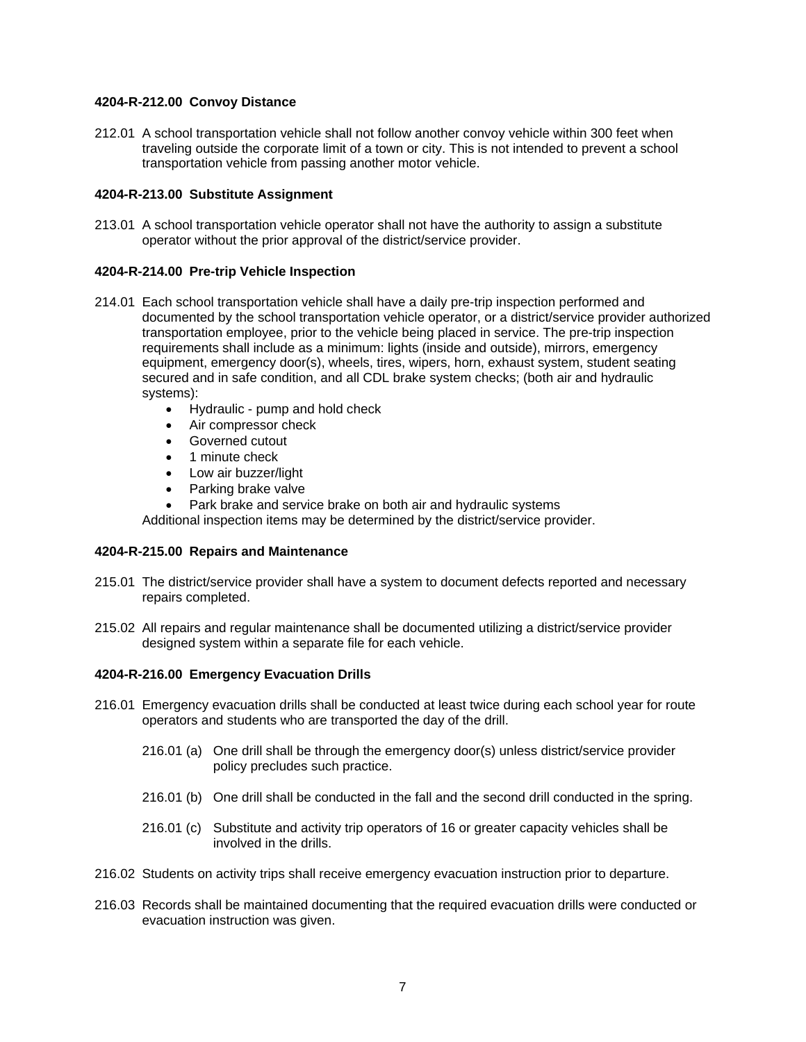# **4204-R-212.00 Convoy Distance**

212.01 A school transportation vehicle shall not follow another convoy vehicle within 300 feet when traveling outside the corporate limit of a town or city. This is not intended to prevent a school transportation vehicle from passing another motor vehicle.

# **4204-R-213.00 Substitute Assignment**

213.01 A school transportation vehicle operator shall not have the authority to assign a substitute operator without the prior approval of the district/service provider.

# **4204-R-214.00 Pre-trip Vehicle Inspection**

- 214.01 Each school transportation vehicle shall have a daily pre-trip inspection performed and documented by the school transportation vehicle operator, or a district/service provider authorized transportation employee, prior to the vehicle being placed in service. The pre-trip inspection requirements shall include as a minimum: lights (inside and outside), mirrors, emergency equipment, emergency door(s), wheels, tires, wipers, horn, exhaust system, student seating secured and in safe condition, and all CDL brake system checks; (both air and hydraulic systems):
	- Hydraulic pump and hold check
	- Air compressor check
	- Governed cutout
	- 1 minute check
	- Low air buzzer/light
	- Parking brake valve
	- Park brake and service brake on both air and hydraulic systems

Additional inspection items may be determined by the district/service provider.

# **4204-R-215.00 Repairs and Maintenance**

- 215.01 The district/service provider shall have a system to document defects reported and necessary repairs completed.
- 215.02 All repairs and regular maintenance shall be documented utilizing a district/service provider designed system within a separate file for each vehicle.

# **4204-R-216.00 Emergency Evacuation Drills**

- 216.01 Emergency evacuation drills shall be conducted at least twice during each school year for route operators and students who are transported the day of the drill.
	- 216.01 (a) One drill shall be through the emergency door(s) unless district/service provider policy precludes such practice.
	- 216.01 (b) One drill shall be conducted in the fall and the second drill conducted in the spring.
	- 216.01 (c) Substitute and activity trip operators of 16 or greater capacity vehicles shall be involved in the drills.
- 216.02 Students on activity trips shall receive emergency evacuation instruction prior to departure.
- 216.03 Records shall be maintained documenting that the required evacuation drills were conducted or evacuation instruction was given.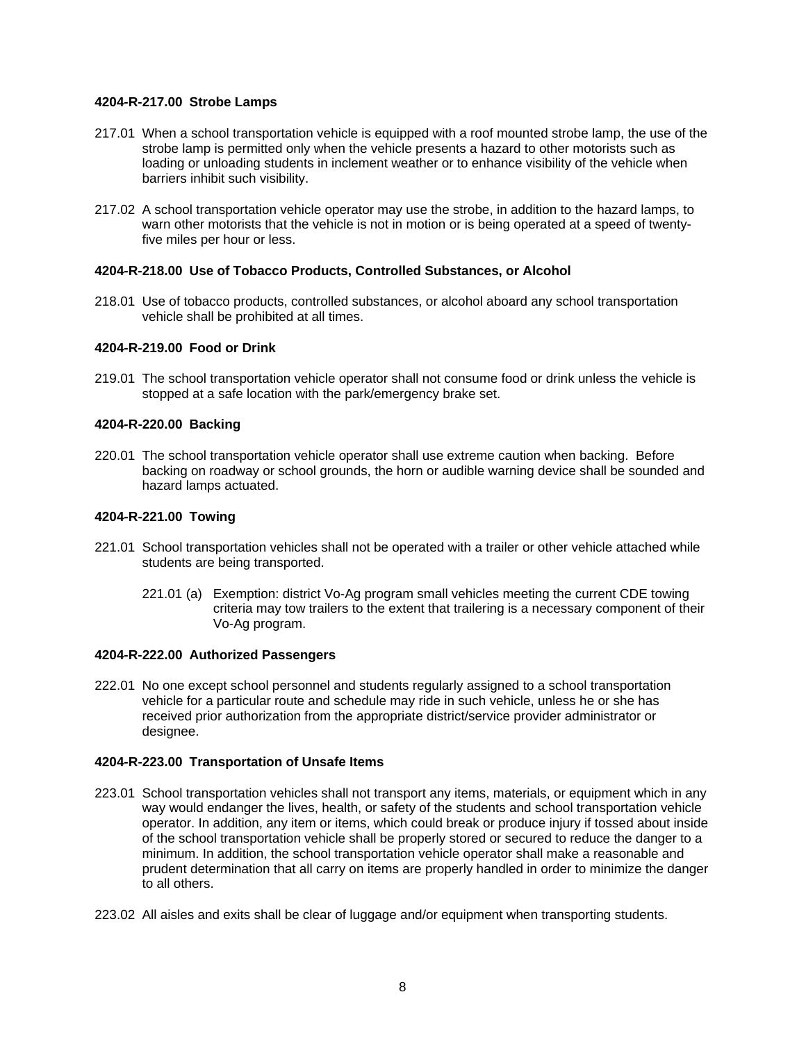# **4204-R-217.00 Strobe Lamps**

- 217.01 When a school transportation vehicle is equipped with a roof mounted strobe lamp, the use of the strobe lamp is permitted only when the vehicle presents a hazard to other motorists such as loading or unloading students in inclement weather or to enhance visibility of the vehicle when barriers inhibit such visibility.
- 217.02 A school transportation vehicle operator may use the strobe, in addition to the hazard lamps, to warn other motorists that the vehicle is not in motion or is being operated at a speed of twentyfive miles per hour or less.

# **4204-R-218.00 Use of Tobacco Products, Controlled Substances, or Alcohol**

218.01 Use of tobacco products, controlled substances, or alcohol aboard any school transportation vehicle shall be prohibited at all times.

# **4204-R-219.00 Food or Drink**

219.01 The school transportation vehicle operator shall not consume food or drink unless the vehicle is stopped at a safe location with the park/emergency brake set.

# **4204-R-220.00 Backing**

220.01 The school transportation vehicle operator shall use extreme caution when backing. Before backing on roadway or school grounds, the horn or audible warning device shall be sounded and hazard lamps actuated.

## **4204-R-221.00 Towing**

- 221.01 School transportation vehicles shall not be operated with a trailer or other vehicle attached while students are being transported.
	- 221.01 (a) Exemption: district Vo-Ag program small vehicles meeting the current CDE towing criteria may tow trailers to the extent that trailering is a necessary component of their Vo-Ag program.

# **4204-R-222.00 Authorized Passengers**

222.01 No one except school personnel and students regularly assigned to a school transportation vehicle for a particular route and schedule may ride in such vehicle, unless he or she has received prior authorization from the appropriate district/service provider administrator or designee.

# **4204-R-223.00 Transportation of Unsafe Items**

- 223.01 School transportation vehicles shall not transport any items, materials, or equipment which in any way would endanger the lives, health, or safety of the students and school transportation vehicle operator. In addition, any item or items, which could break or produce injury if tossed about inside of the school transportation vehicle shall be properly stored or secured to reduce the danger to a minimum. In addition, the school transportation vehicle operator shall make a reasonable and prudent determination that all carry on items are properly handled in order to minimize the danger to all others.
- 223.02 All aisles and exits shall be clear of luggage and/or equipment when transporting students.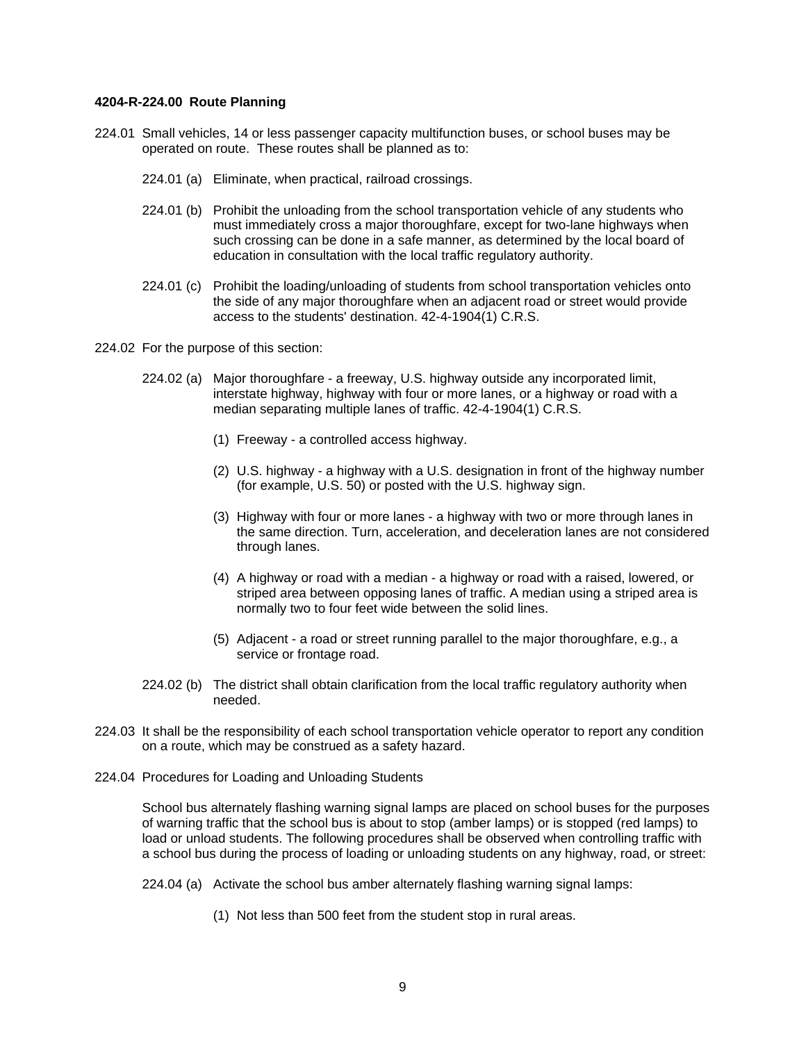#### **4204-R-224.00 Route Planning**

- 224.01 Small vehicles, 14 or less passenger capacity multifunction buses, or school buses may be operated on route. These routes shall be planned as to:
	- 224.01 (a) Eliminate, when practical, railroad crossings.
	- 224.01 (b) Prohibit the unloading from the school transportation vehicle of any students who must immediately cross a major thoroughfare, except for two-lane highways when such crossing can be done in a safe manner, as determined by the local board of education in consultation with the local traffic regulatory authority.
	- 224.01 (c) Prohibit the loading/unloading of students from school transportation vehicles onto the side of any major thoroughfare when an adjacent road or street would provide access to the students' destination. 42-4-1904(1) C.R.S.
- 224.02 For the purpose of this section:
	- 224.02 (a) Major thoroughfare a freeway, U.S. highway outside any incorporated limit, interstate highway, highway with four or more lanes, or a highway or road with a median separating multiple lanes of traffic. 42-4-1904(1) C.R.S.
		- (1) Freeway a controlled access highway.
		- (2) U.S. highway a highway with a U.S. designation in front of the highway number (for example, U.S. 50) or posted with the U.S. highway sign.
		- (3) Highway with four or more lanes a highway with two or more through lanes in the same direction. Turn, acceleration, and deceleration lanes are not considered through lanes.
		- (4) A highway or road with a median a highway or road with a raised, lowered, or striped area between opposing lanes of traffic. A median using a striped area is normally two to four feet wide between the solid lines.
		- (5) Adjacent a road or street running parallel to the major thoroughfare, e.g., a service or frontage road.
	- 224.02 (b) The district shall obtain clarification from the local traffic regulatory authority when needed.
- 224.03 It shall be the responsibility of each school transportation vehicle operator to report any condition on a route, which may be construed as a safety hazard.
- 224.04 Procedures for Loading and Unloading Students

School bus alternately flashing warning signal lamps are placed on school buses for the purposes of warning traffic that the school bus is about to stop (amber lamps) or is stopped (red lamps) to load or unload students. The following procedures shall be observed when controlling traffic with a school bus during the process of loading or unloading students on any highway, road, or street:

- 224.04 (a) Activate the school bus amber alternately flashing warning signal lamps:
	- (1) Not less than 500 feet from the student stop in rural areas.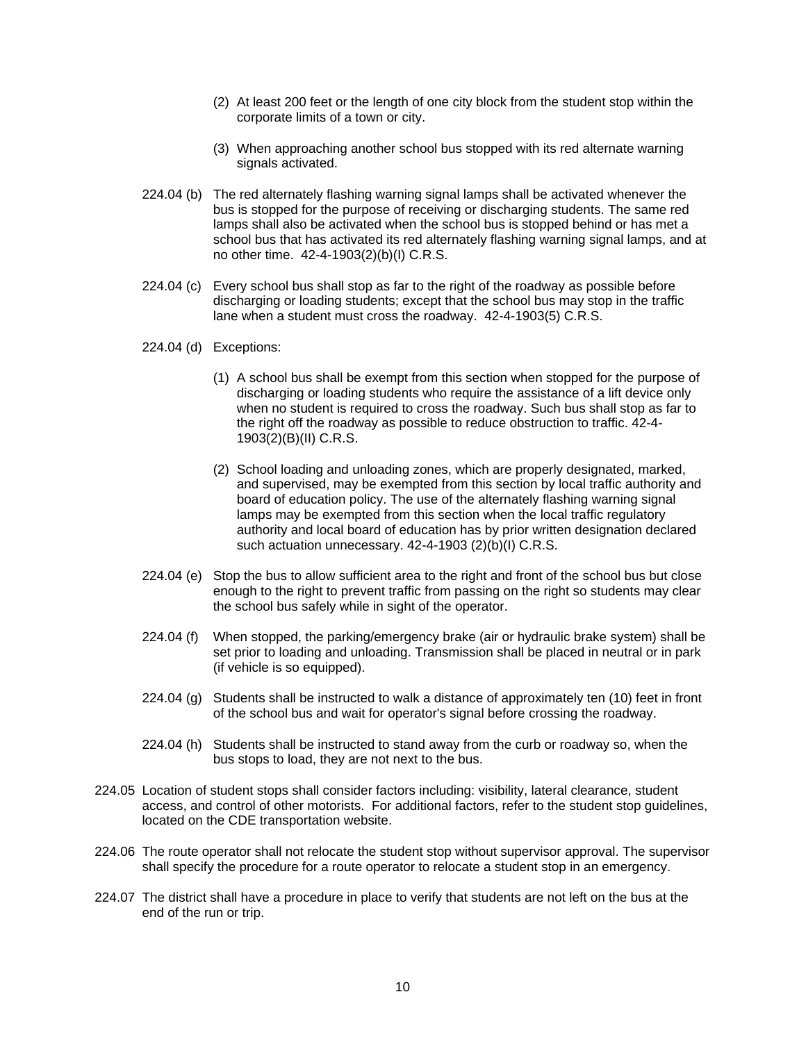- (2) At least 200 feet or the length of one city block from the student stop within the corporate limits of a town or city.
- (3) When approaching another school bus stopped with its red alternate warning signals activated.
- 224.04 (b) The red alternately flashing warning signal lamps shall be activated whenever the bus is stopped for the purpose of receiving or discharging students. The same red lamps shall also be activated when the school bus is stopped behind or has met a school bus that has activated its red alternately flashing warning signal lamps, and at no other time. 42-4-1903(2)(b)(I) C.R.S.
- 224.04 (c) Every school bus shall stop as far to the right of the roadway as possible before discharging or loading students; except that the school bus may stop in the traffic lane when a student must cross the roadway. 42-4-1903(5) C.R.S.
- 224.04 (d) Exceptions:
	- (1) A school bus shall be exempt from this section when stopped for the purpose of discharging or loading students who require the assistance of a lift device only when no student is required to cross the roadway. Such bus shall stop as far to the right off the roadway as possible to reduce obstruction to traffic. 42-4- 1903(2)(B)(II) C.R.S.
	- (2) School loading and unloading zones, which are properly designated, marked, and supervised, may be exempted from this section by local traffic authority and board of education policy. The use of the alternately flashing warning signal lamps may be exempted from this section when the local traffic regulatory authority and local board of education has by prior written designation declared such actuation unnecessary. 42-4-1903 (2)(b)(I) C.R.S.
- 224.04 (e) Stop the bus to allow sufficient area to the right and front of the school bus but close enough to the right to prevent traffic from passing on the right so students may clear the school bus safely while in sight of the operator.
- 224.04 (f) When stopped, the parking/emergency brake (air or hydraulic brake system) shall be set prior to loading and unloading. Transmission shall be placed in neutral or in park (if vehicle is so equipped).
- 224.04 (g) Students shall be instructed to walk a distance of approximately ten (10) feet in front of the school bus and wait for operator's signal before crossing the roadway.
- 224.04 (h) Students shall be instructed to stand away from the curb or roadway so, when the bus stops to load, they are not next to the bus.
- 224.05 Location of student stops shall consider factors including: visibility, lateral clearance, student access, and control of other motorists. For additional factors, refer to the student stop guidelines, located on the CDE transportation website.
- 224.06 The route operator shall not relocate the student stop without supervisor approval. The supervisor shall specify the procedure for a route operator to relocate a student stop in an emergency.
- 224.07 The district shall have a procedure in place to verify that students are not left on the bus at the end of the run or trip.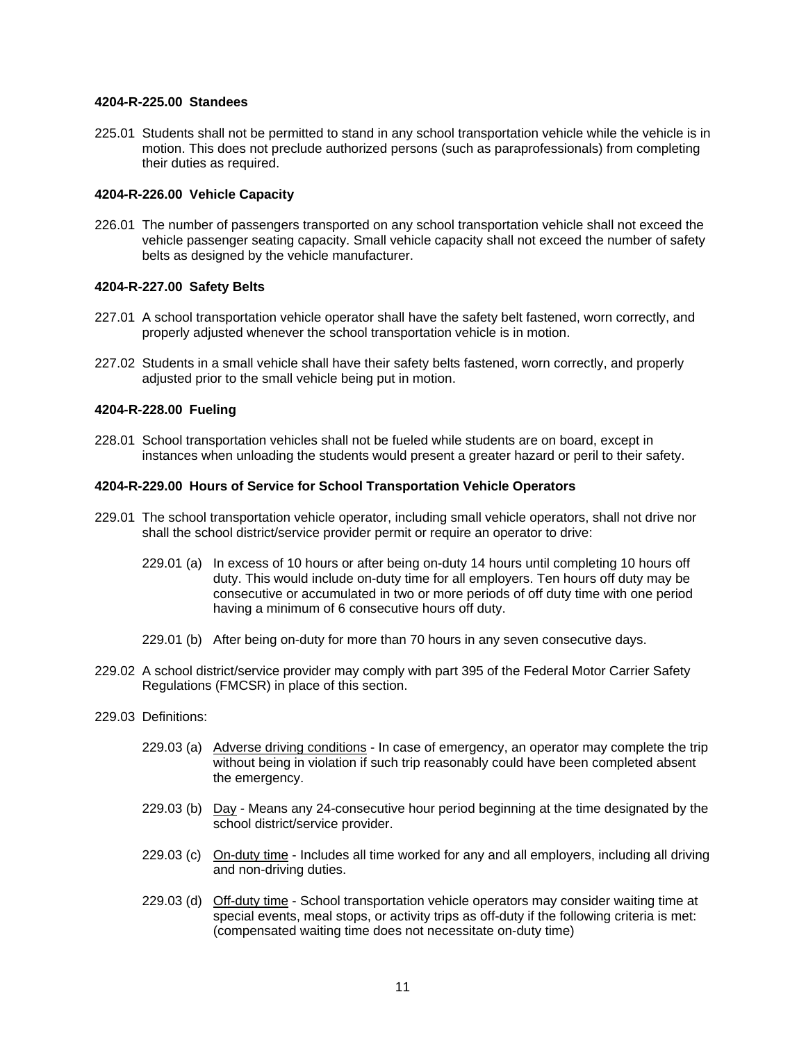# **4204-R-225.00 Standees**

225.01 Students shall not be permitted to stand in any school transportation vehicle while the vehicle is in motion. This does not preclude authorized persons (such as paraprofessionals) from completing their duties as required.

# **4204-R-226.00 Vehicle Capacity**

226.01 The number of passengers transported on any school transportation vehicle shall not exceed the vehicle passenger seating capacity. Small vehicle capacity shall not exceed the number of safety belts as designed by the vehicle manufacturer.

# **4204-R-227.00 Safety Belts**

- 227.01 A school transportation vehicle operator shall have the safety belt fastened, worn correctly, and properly adjusted whenever the school transportation vehicle is in motion.
- 227.02 Students in a small vehicle shall have their safety belts fastened, worn correctly, and properly adjusted prior to the small vehicle being put in motion.

## **4204-R-228.00 Fueling**

228.01 School transportation vehicles shall not be fueled while students are on board, except in instances when unloading the students would present a greater hazard or peril to their safety.

#### **4204-R-229.00 Hours of Service for School Transportation Vehicle Operators**

- 229.01 The school transportation vehicle operator, including small vehicle operators, shall not drive nor shall the school district/service provider permit or require an operator to drive:
	- 229.01 (a) In excess of 10 hours or after being on-duty 14 hours until completing 10 hours off duty. This would include on-duty time for all employers. Ten hours off duty may be consecutive or accumulated in two or more periods of off duty time with one period having a minimum of 6 consecutive hours off duty.
	- 229.01 (b) After being on-duty for more than 70 hours in any seven consecutive days.
- 229.02 A school district/service provider may comply with part 395 of the Federal Motor Carrier Safety Regulations (FMCSR) in place of this section.
- 229.03 Definitions:
	- 229.03 (a) Adverse driving conditions In case of emergency, an operator may complete the trip without being in violation if such trip reasonably could have been completed absent the emergency.
	- 229.03 (b) Day Means any 24-consecutive hour period beginning at the time designated by the school district/service provider.
	- 229.03 (c) On-duty time Includes all time worked for any and all employers, including all driving and non-driving duties.
	- 229.03 (d) Off-duty time School transportation vehicle operators may consider waiting time at special events, meal stops, or activity trips as off-duty if the following criteria is met: (compensated waiting time does not necessitate on-duty time)